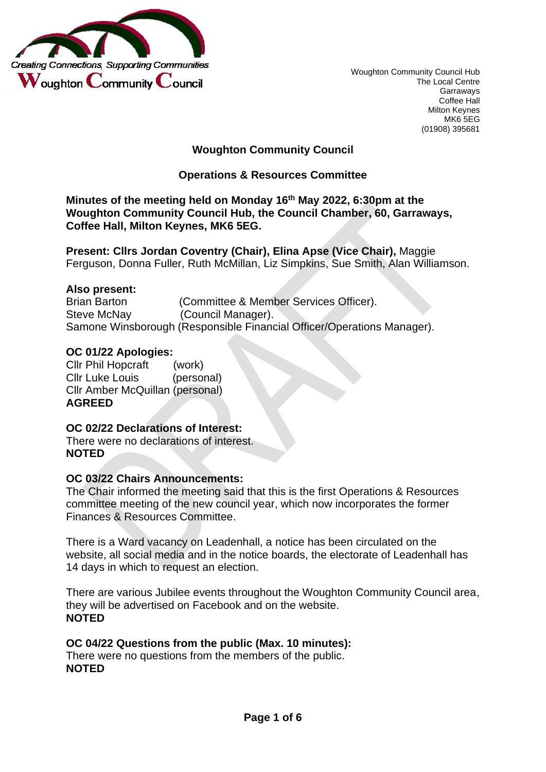

Woughton Community Council Hub The Local Centre Garraways Coffee Hall Milton Keynes MK6 5EG (01908) 395681

### **Woughton Community Council**

### **Operations & Resources Committee**

**Minutes of the meeting held on Monday 16th May 2022, 6:30pm at the Woughton Community Council Hub, the Council Chamber, 60, Garraways, Coffee Hall, Milton Keynes, MK6 5EG.**

**Present: Cllrs Jordan Coventry (Chair), Elina Apse (Vice Chair),** Maggie Ferguson, Donna Fuller, Ruth McMillan, Liz Simpkins, Sue Smith, Alan Williamson.

#### **Also present:**

Brian Barton (Committee & Member Services Officer). Steve McNay (Council Manager). Samone Winsborough (Responsible Financial Officer/Operations Manager).

#### **OC 01/22 Apologies:**

Cllr Phil Hopcraft (work) Cllr Luke Louis (personal) Cllr Amber McQuillan (personal) **AGREED**

#### **OC 02/22 Declarations of Interest:**  There were no declarations of interest. **NOTED**

#### **OC 03/22 Chairs Announcements:**

The Chair informed the meeting said that this is the first Operations & Resources committee meeting of the new council year, which now incorporates the former Finances & Resources Committee.

There is a Ward vacancy on Leadenhall, a notice has been circulated on the website, all social media and in the notice boards, the electorate of Leadenhall has 14 days in which to request an election.

There are various Jubilee events throughout the Woughton Community Council area, they will be advertised on Facebook and on the website. **NOTED**

# **OC 04/22 Questions from the public (Max. 10 minutes):**

There were no questions from the members of the public. **NOTED**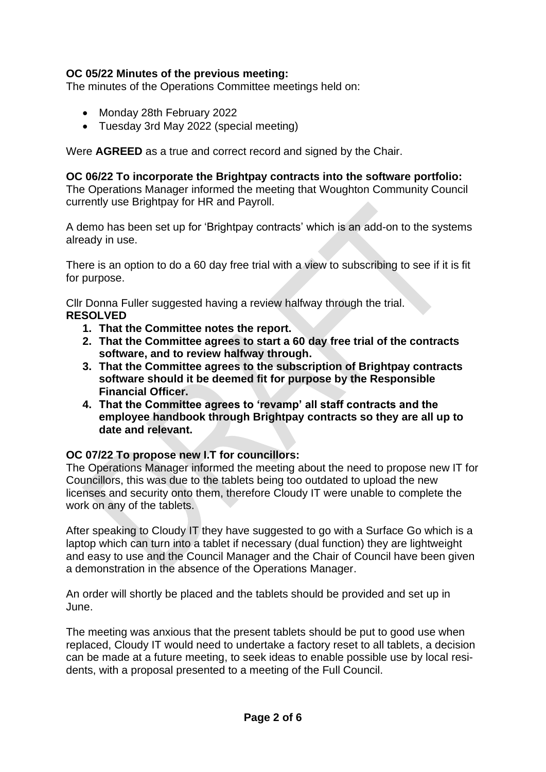### **OC 05/22 Minutes of the previous meeting:**

The minutes of the Operations Committee meetings held on:

- Monday 28th February 2022
- Tuesday 3rd May 2022 (special meeting)

Were **AGREED** as a true and correct record and signed by the Chair.

#### **OC 06/22 To incorporate the Brightpay contracts into the software portfolio:**

The Operations Manager informed the meeting that Woughton Community Council currently use Brightpay for HR and Payroll.

A demo has been set up for 'Brightpay contracts' which is an add-on to the systems already in use.

There is an option to do a 60 day free trial with a view to subscribing to see if it is fit for purpose.

Cllr Donna Fuller suggested having a review halfway through the trial. **RESOLVED**

- **1. That the Committee notes the report.**
- **2. That the Committee agrees to start a 60 day free trial of the contracts software, and to review halfway through.**
- **3. That the Committee agrees to the subscription of Brightpay contracts software should it be deemed fit for purpose by the Responsible Financial Officer.**
- **4. That the Committee agrees to 'revamp' all staff contracts and the employee handbook through Brightpay contracts so they are all up to date and relevant.**

#### **OC 07/22 To propose new I.T for councillors:**

The Operations Manager informed the meeting about the need to propose new IT for Councillors, this was due to the tablets being too outdated to upload the new licenses and security onto them, therefore Cloudy IT were unable to complete the work on any of the tablets.

After speaking to Cloudy IT they have suggested to go with a Surface Go which is a laptop which can turn into a tablet if necessary (dual function) they are lightweight and easy to use and the Council Manager and the Chair of Council have been given a demonstration in the absence of the Operations Manager.

An order will shortly be placed and the tablets should be provided and set up in June.

The meeting was anxious that the present tablets should be put to good use when replaced, Cloudy IT would need to undertake a factory reset to all tablets, a decision can be made at a future meeting, to seek ideas to enable possible use by local residents, with a proposal presented to a meeting of the Full Council.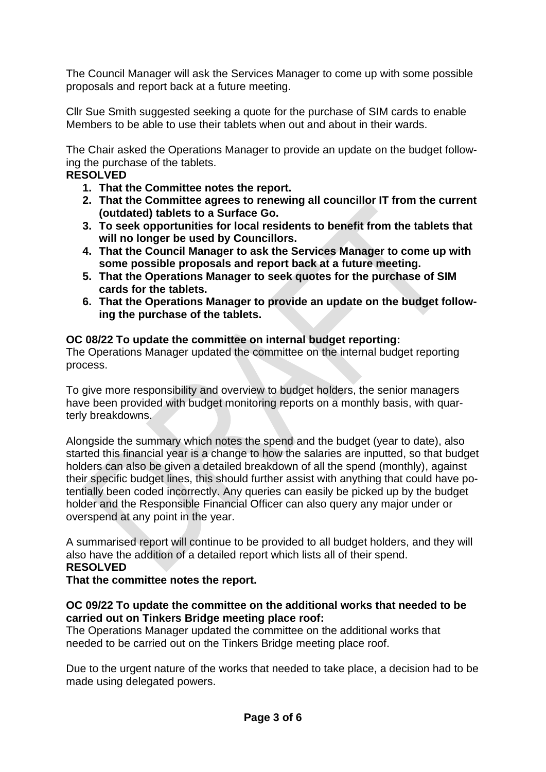The Council Manager will ask the Services Manager to come up with some possible proposals and report back at a future meeting.

Cllr Sue Smith suggested seeking a quote for the purchase of SIM cards to enable Members to be able to use their tablets when out and about in their wards.

The Chair asked the Operations Manager to provide an update on the budget following the purchase of the tablets.

## **RESOLVED**

- **1. That the Committee notes the report.**
- **2. That the Committee agrees to renewing all councillor IT from the current (outdated) tablets to a Surface Go.**
- **3. To seek opportunities for local residents to benefit from the tablets that will no longer be used by Councillors.**
- **4. That the Council Manager to ask the Services Manager to come up with some possible proposals and report back at a future meeting.**
- **5. That the Operations Manager to seek quotes for the purchase of SIM cards for the tablets.**
- **6. That the Operations Manager to provide an update on the budget following the purchase of the tablets.**

### **OC 08/22 To update the committee on internal budget reporting:**

The Operations Manager updated the committee on the internal budget reporting process.

To give more responsibility and overview to budget holders, the senior managers have been provided with budget monitoring reports on a monthly basis, with quarterly breakdowns.

Alongside the summary which notes the spend and the budget (year to date), also started this financial year is a change to how the salaries are inputted, so that budget holders can also be given a detailed breakdown of all the spend (monthly), against their specific budget lines, this should further assist with anything that could have potentially been coded incorrectly. Any queries can easily be picked up by the budget holder and the Responsible Financial Officer can also query any major under or overspend at any point in the year.

A summarised report will continue to be provided to all budget holders, and they will also have the addition of a detailed report which lists all of their spend. **RESOLVED**

**That the committee notes the report.** 

### **OC 09/22 To update the committee on the additional works that needed to be carried out on Tinkers Bridge meeting place roof:**

The Operations Manager updated the committee on the additional works that needed to be carried out on the Tinkers Bridge meeting place roof.

Due to the urgent nature of the works that needed to take place, a decision had to be made using delegated powers.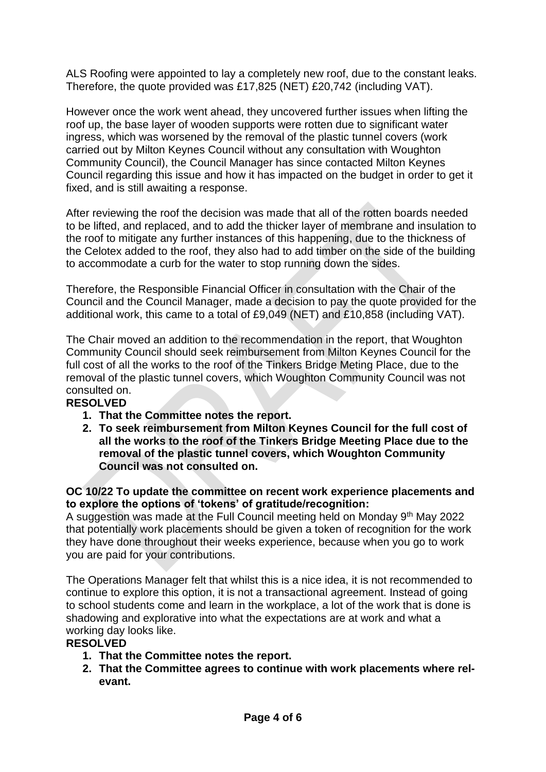ALS Roofing were appointed to lay a completely new roof, due to the constant leaks. Therefore, the quote provided was £17,825 (NET) £20,742 (including VAT).

However once the work went ahead, they uncovered further issues when lifting the roof up, the base layer of wooden supports were rotten due to significant water ingress, which was worsened by the removal of the plastic tunnel covers (work carried out by Milton Keynes Council without any consultation with Woughton Community Council), the Council Manager has since contacted Milton Keynes Council regarding this issue and how it has impacted on the budget in order to get it fixed, and is still awaiting a response.

After reviewing the roof the decision was made that all of the rotten boards needed to be lifted, and replaced, and to add the thicker layer of membrane and insulation to the roof to mitigate any further instances of this happening, due to the thickness of the Celotex added to the roof, they also had to add timber on the side of the building to accommodate a curb for the water to stop running down the sides.

Therefore, the Responsible Financial Officer in consultation with the Chair of the Council and the Council Manager, made a decision to pay the quote provided for the additional work, this came to a total of £9,049 (NET) and £10,858 (including VAT).

The Chair moved an addition to the recommendation in the report, that Woughton Community Council should seek reimbursement from Milton Keynes Council for the full cost of all the works to the roof of the Tinkers Bridge Meting Place, due to the removal of the plastic tunnel covers, which Woughton Community Council was not consulted on.

### **RESOLVED**

- **1. That the Committee notes the report.**
- **2. To seek reimbursement from Milton Keynes Council for the full cost of all the works to the roof of the Tinkers Bridge Meeting Place due to the removal of the plastic tunnel covers, which Woughton Community Council was not consulted on.**

#### **OC 10/22 To update the committee on recent work experience placements and to explore the options of 'tokens' of gratitude/recognition:**

A suggestion was made at the Full Council meeting held on Monday 9<sup>th</sup> May 2022 that potentially work placements should be given a token of recognition for the work they have done throughout their weeks experience, because when you go to work you are paid for your contributions.

The Operations Manager felt that whilst this is a nice idea, it is not recommended to continue to explore this option, it is not a transactional agreement. Instead of going to school students come and learn in the workplace, a lot of the work that is done is shadowing and explorative into what the expectations are at work and what a working day looks like.

## **RESOLVED**

- **1. That the Committee notes the report.**
- **2. That the Committee agrees to continue with work placements where relevant.**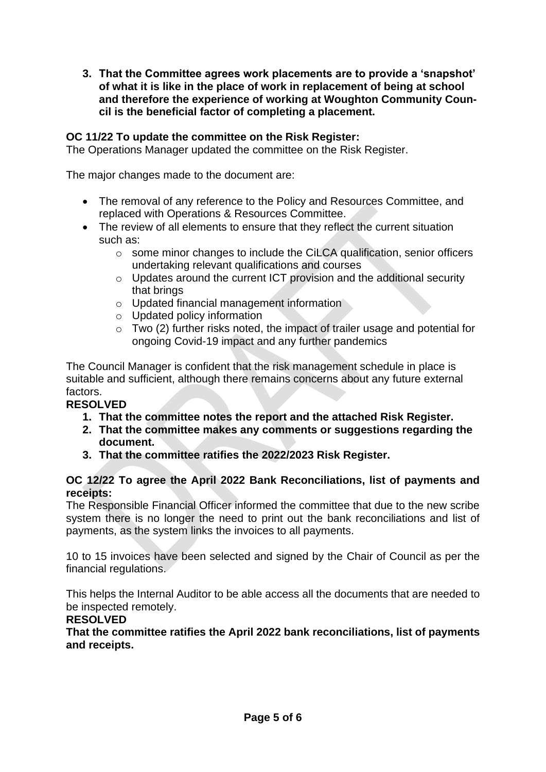**3. That the Committee agrees work placements are to provide a 'snapshot' of what it is like in the place of work in replacement of being at school and therefore the experience of working at Woughton Community Council is the beneficial factor of completing a placement.** 

### **OC 11/22 To update the committee on the Risk Register:**

The Operations Manager updated the committee on the Risk Register.

The major changes made to the document are:

- The removal of any reference to the Policy and Resources Committee, and replaced with Operations & Resources Committee.
- The review of all elements to ensure that they reflect the current situation such as:
	- o some minor changes to include the CiLCA qualification, senior officers undertaking relevant qualifications and courses
	- o Updates around the current ICT provision and the additional security that brings
	- o Updated financial management information
	- o Updated policy information
	- o Two (2) further risks noted, the impact of trailer usage and potential for ongoing Covid-19 impact and any further pandemics

The Council Manager is confident that the risk management schedule in place is suitable and sufficient, although there remains concerns about any future external factors.

### **RESOLVED**

- **1. That the committee notes the report and the attached Risk Register.**
- **2. That the committee makes any comments or suggestions regarding the document.**
- **3. That the committee ratifies the 2022/2023 Risk Register.**

### **OC 12/22 To agree the April 2022 Bank Reconciliations, list of payments and receipts:**

The Responsible Financial Officer informed the committee that due to the new scribe system there is no longer the need to print out the bank reconciliations and list of payments, as the system links the invoices to all payments.

10 to 15 invoices have been selected and signed by the Chair of Council as per the financial regulations.

This helps the Internal Auditor to be able access all the documents that are needed to be inspected remotely.

### **RESOLVED**

**That the committee ratifies the April 2022 bank reconciliations, list of payments and receipts.**